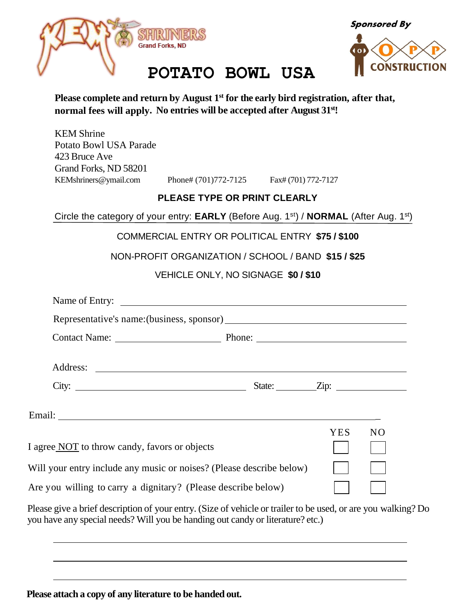

**Sponsored By** 



### **POTATO BOWL USA**

**Please complete and return by August 1 st for the early bird registration, after that, normal fees will apply. No entries will be accepted after August 31st!**

KEM Shrine Potato Bowl USA Parade 423 Bruce Ave Grand Forks, ND 58201

[KEMshriners@ymail.com](mailto:KEMshriners@ymail.com) Phone# (701)772-7125 Fax# (701) 772-7127

#### **PLEASE TYPE OR PRINT CLEARLY**

Circle the category of your entry: **EARLY** (Before Aug. 1<sup>st</sup>) / **NORMAL** (After Aug. 1<sup>st</sup>)

#### COMMERCIAL ENTRY OR POLITICAL ENTRY **\$75 / \$100**

NON-PROFIT ORGANIZATION / SCHOOL / BAND **\$15 / \$25**

#### VEHICLE ONLY, NO SIGNAGE **\$0 / \$10**

| Contact Name: Phone: Phone: Phone:                                                                      |  |            |                |  |
|---------------------------------------------------------------------------------------------------------|--|------------|----------------|--|
|                                                                                                         |  |            |                |  |
| City: $\frac{2}{\pi}$ State: $\frac{2}{\pi}$ State: $\frac{2}{\pi}$                                     |  |            |                |  |
|                                                                                                         |  |            |                |  |
|                                                                                                         |  | <b>YES</b> | N <sub>O</sub> |  |
| I agree NOT to throw candy, favors or objects                                                           |  |            |                |  |
| Will your entry include any music or noises? (Please describe below)                                    |  |            |                |  |
| Are you willing to carry a dignitary? (Please describe below)                                           |  |            |                |  |
| Please give a brief description of your entry (Size of vehicle or trailer to be used or are you walking |  |            |                |  |

Please give a brief description of your entry. (Size of vehicle or trailer to be used, or are you walking? Do you have any special needs? Will you be handing out candy or literature? etc.)

**Please attach a copy of any literature to be handed out.**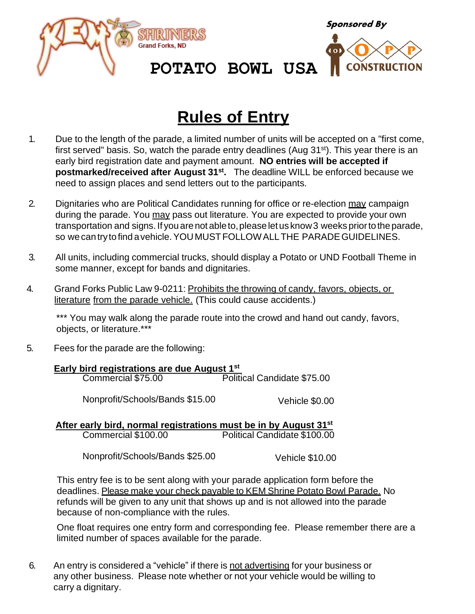



# **Rules of Entry**

- 1. Due to the length of the parade, a limited number of units will be accepted on a "first come, first served" basis. So, watch the parade entry deadlines (Aug 31<sup>st</sup>). This year there is an early bird registration date and payment amount. **NO entries will be accepted if postmarked/received after August 31st .** The deadline WILL be enforced because we need to assign places and send letters out to the participants.
- 2. Dignitaries who are Political Candidates running for office or re-election may campaign during the parade. You may pass out literature. You are expected to provide your own transportation and signs. If you are not able to, please let us know 3 weeks prior to the parade, so we cantrytofind avehicle.YOUMUSTFOLLOWALLTHE PARADEGUIDELINES.
- 3. All units, including commercial trucks, should display a Potato or UND Football Theme in some manner, except for bands and dignitaries.
- 4. Grand Forks Public Law 9-0211: Prohibits the throwing of candy, favors, objects, or literature from the parade vehicle. (This could cause accidents.)

\*\*\* You may walk along the parade route into the crowd and hand out candy, favors, objects, or literature.\*\*\*

5. Fees for the parade are the following:

| Early bird registrations are due August 1st |                             |  |  |  |
|---------------------------------------------|-----------------------------|--|--|--|
| Commercial \$75.00                          | Political Candidate \$75.00 |  |  |  |
| Nonprofit/Schools/Bands \$15.00             | Vehicle \$0.00              |  |  |  |

 **After early bird, normal registrations must be in by August 31st** Political Candidate \$100.00

Nonprofit/Schools/Bands \$25.00 Vehicle \$10.00

This entry fee is to be sent along with your parade application form before the deadlines. Please make your check payable to KEM Shrine Potato Bowl Parade. No refunds will be given to any unit that shows up and is not allowed into the parade because of non-compliance with the rules.

One float requires one entry form and corresponding fee. Please remember there are a limited number of spaces available for the parade.

6. An entry is considered a "vehicle" if there is not advertising for your business or any other business. Please note whether or not your vehicle would be willing to carry a dignitary.